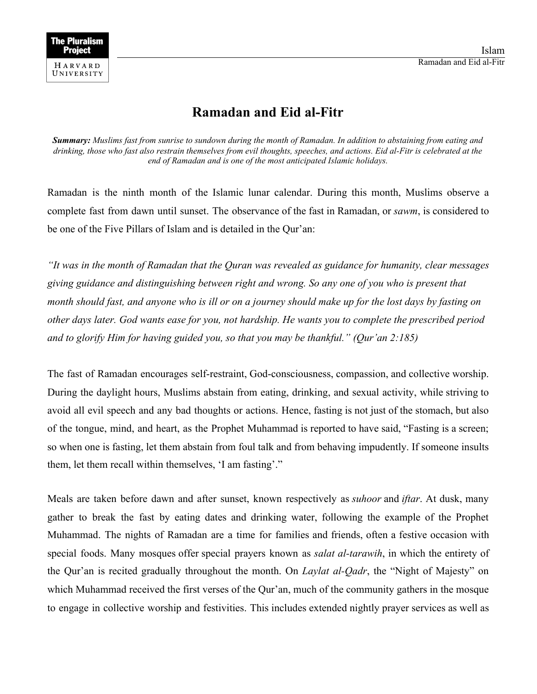## **Ramadan and Eid al-Fitr**

**Summary:** Muslims fast from sunrise to sundown during the month of Ramadan. In addition to abstaining from eating and drinking, those who fast also restrain themselves from evil thoughts, speeches, and actions. Eid al-Fitr is celebrated at the *end of Ramadan and is one of the most anticipated Islamic holidays.*

Ramadan is the ninth month of the Islamic lunar calendar. During this month, Muslims observe a complete fast from dawn until sunset. The observance of the fast in Ramadan, or *sawm*, is considered to be one of the Five Pillars of Islam and is detailed in the Qur'an:

*"It was in the month of Ramadan that the Quran was revealed as guidance for humanity, clear messages giving guidance and distinguishing between right and wrong. So any one of you who is present that month should fast, and anyone who is ill or on a journey should make up for the lost days by fasting on other days later. God wants ease for you, not hardship. He wants you to complete the prescribed period and to glorify Him for having guided you, so that you may be thankful." (Qur'an 2:185)*

The fast of Ramadan encourages self-restraint, God-consciousness, compassion, and collective worship. During the daylight hours, Muslims abstain from eating, drinking, and sexual activity, while striving to avoid all evil speech and any bad thoughts or actions. Hence, fasting is not just of the stomach, but also of the tongue, mind, and heart, as the Prophet Muhammad is reported to have said, "Fasting is a screen; so when one is fasting, let them abstain from foul talk and from behaving impudently. If someone insults them, let them recall within themselves, 'I am fasting'."

Meals are taken before dawn and after sunset, known respectively as *suhoor* and *iftar*. At dusk, many gather to break the fast by eating dates and drinking water, following the example of the Prophet Muhammad. The nights of Ramadan are a time for families and friends, often a festive occasion with special foods. Many mosques offer special prayers known as *salat al-tarawih*, in which the entirety of the Qur'an is recited gradually throughout the month. On *Laylat al-Qadr*, the "Night of Majesty" on which Muhammad received the first verses of the Qur'an, much of the community gathers in the mosque to engage in collective worship and festivities. This includes extended nightly prayer services as well as